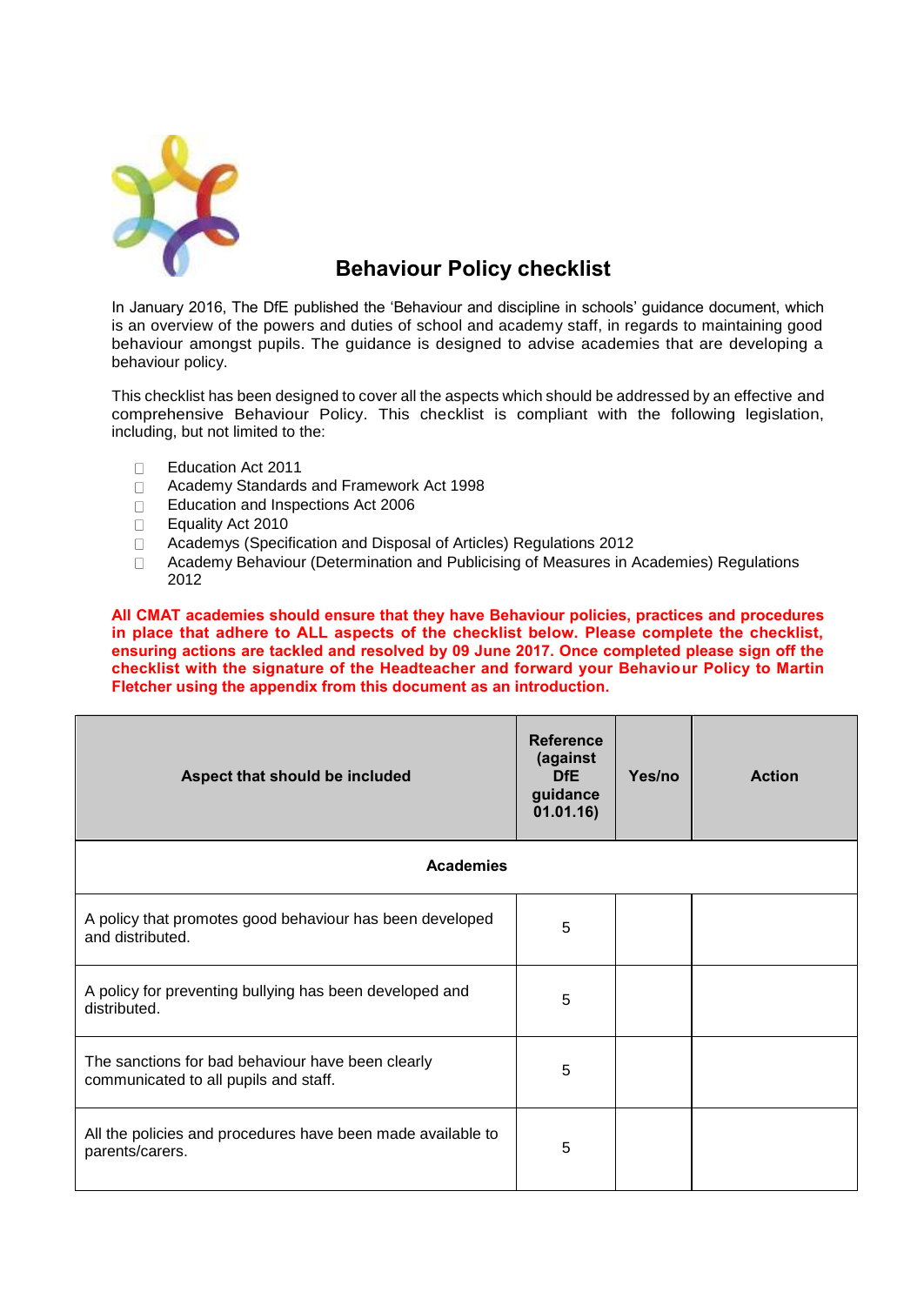

## **Behaviour Policy checklist**

In January 2016, The DfE published the 'Behaviour and discipline in schools' guidance document, which is an overview of the powers and duties of school and academy staff, in regards to maintaining good behaviour amongst pupils. The guidance is designed to advise academies that are developing a behaviour policy.

This checklist has been designed to cover all the aspects which should be addressed by an effective and comprehensive Behaviour Policy. This checklist is compliant with the following legislation, including, but not limited to the:

- Education Act 2011  $\Box$
- Academy Standards and Framework Act 1998  $\Box$
- Education and Inspections Act 2006  $\Box$
- Equality Act 2010  $\Box$
- Academys (Specification and Disposal of Articles) Regulations 2012  $\Box$
- $\Box$ Academy Behaviour (Determination and Publicising of Measures in Academies) Regulations 2012

**All CMAT academies should ensure that they have Behaviour policies, practices and procedures in place that adhere to ALL aspects of the checklist below. Please complete the checklist, ensuring actions are tackled and resolved by 09 June 2017. Once completed please sign off the checklist with the signature of the Headteacher and forward your Behaviour Policy to Martin Fletcher using the appendix from this document as an introduction.**

| Aspect that should be included                                                             | <b>Reference</b><br>(against<br><b>DfE</b><br>guidance<br>01.01.16) | Yes/no | <b>Action</b> |
|--------------------------------------------------------------------------------------------|---------------------------------------------------------------------|--------|---------------|
| <b>Academies</b>                                                                           |                                                                     |        |               |
| A policy that promotes good behaviour has been developed<br>and distributed.               | 5                                                                   |        |               |
| A policy for preventing bullying has been developed and<br>distributed.                    | 5                                                                   |        |               |
| The sanctions for bad behaviour have been clearly<br>communicated to all pupils and staff. | 5                                                                   |        |               |
| All the policies and procedures have been made available to<br>parents/carers.             | 5                                                                   |        |               |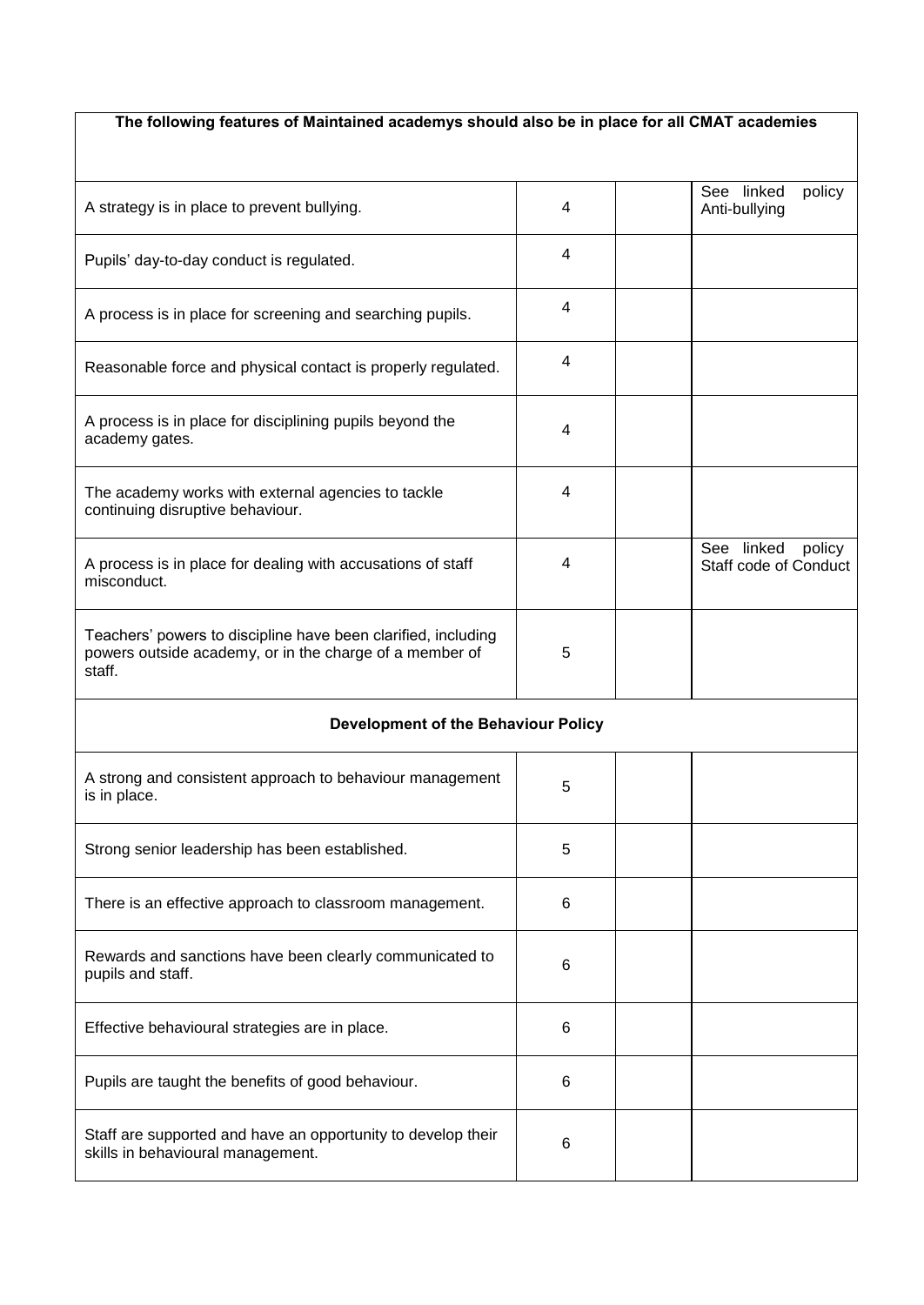## **The following features of Maintained academys should also be in place for all CMAT academies**

| A strategy is in place to prevent bullying.                                                                                        | 4 | policy<br>See linked<br>Anti-bullying         |
|------------------------------------------------------------------------------------------------------------------------------------|---|-----------------------------------------------|
| Pupils' day-to-day conduct is regulated.                                                                                           | 4 |                                               |
| A process is in place for screening and searching pupils.                                                                          | 4 |                                               |
| Reasonable force and physical contact is properly regulated.                                                                       | 4 |                                               |
| A process is in place for disciplining pupils beyond the<br>academy gates.                                                         | 4 |                                               |
| The academy works with external agencies to tackle<br>continuing disruptive behaviour.                                             | 4 |                                               |
| A process is in place for dealing with accusations of staff<br>misconduct.                                                         | 4 | See linked<br>policy<br>Staff code of Conduct |
| Teachers' powers to discipline have been clarified, including<br>powers outside academy, or in the charge of a member of<br>staff. | 5 |                                               |
| Development of the Behaviour Policy                                                                                                |   |                                               |
| A strong and consistent approach to behaviour management<br>is in place.                                                           | 5 |                                               |
| Strong senior leadership has been established.                                                                                     | 5 |                                               |
| There is an effective approach to classroom management.                                                                            | 6 |                                               |
| Rewards and sanctions have been clearly communicated to<br>pupils and staff.                                                       | 6 |                                               |
| Effective behavioural strategies are in place.                                                                                     | 6 |                                               |
| Pupils are taught the benefits of good behaviour.                                                                                  | 6 |                                               |
| Staff are supported and have an opportunity to develop their                                                                       |   |                                               |

Stall are supported and have all opportunity to develop their<br>skills in behavioural management.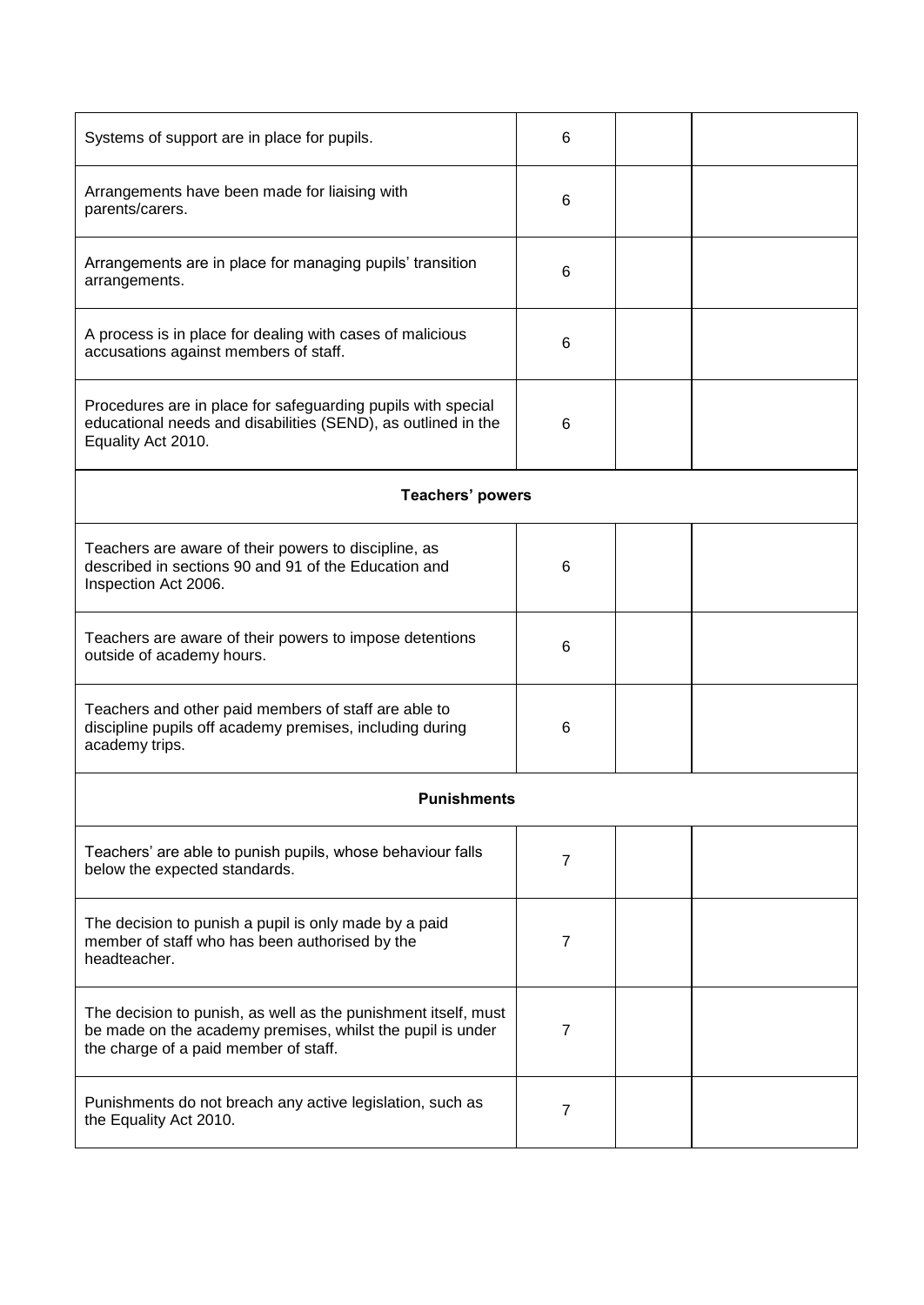| Systems of support are in place for pupils.                                                                                                                           | 6              |  |  |
|-----------------------------------------------------------------------------------------------------------------------------------------------------------------------|----------------|--|--|
| Arrangements have been made for liaising with<br>parents/carers.                                                                                                      | 6              |  |  |
| Arrangements are in place for managing pupils' transition<br>arrangements.                                                                                            | 6              |  |  |
| A process is in place for dealing with cases of malicious<br>accusations against members of staff.                                                                    | 6              |  |  |
| Procedures are in place for safeguarding pupils with special<br>educational needs and disabilities (SEND), as outlined in the<br>Equality Act 2010.                   | 6              |  |  |
| <b>Teachers' powers</b>                                                                                                                                               |                |  |  |
| Teachers are aware of their powers to discipline, as<br>described in sections 90 and 91 of the Education and<br>Inspection Act 2006.                                  | 6              |  |  |
| Teachers are aware of their powers to impose detentions<br>outside of academy hours.                                                                                  | 6              |  |  |
| Teachers and other paid members of staff are able to<br>discipline pupils off academy premises, including during<br>academy trips.                                    | 6              |  |  |
| <b>Punishments</b>                                                                                                                                                    |                |  |  |
| Teachers' are able to punish pupils, whose behaviour falls<br>below the expected standards.                                                                           | $\overline{7}$ |  |  |
| The decision to punish a pupil is only made by a paid<br>member of staff who has been authorised by the<br>headteacher.                                               | $\overline{7}$ |  |  |
| The decision to punish, as well as the punishment itself, must<br>be made on the academy premises, whilst the pupil is under<br>the charge of a paid member of staff. | 7              |  |  |
| Punishments do not breach any active legislation, such as<br>the Equality Act 2010.                                                                                   | 7              |  |  |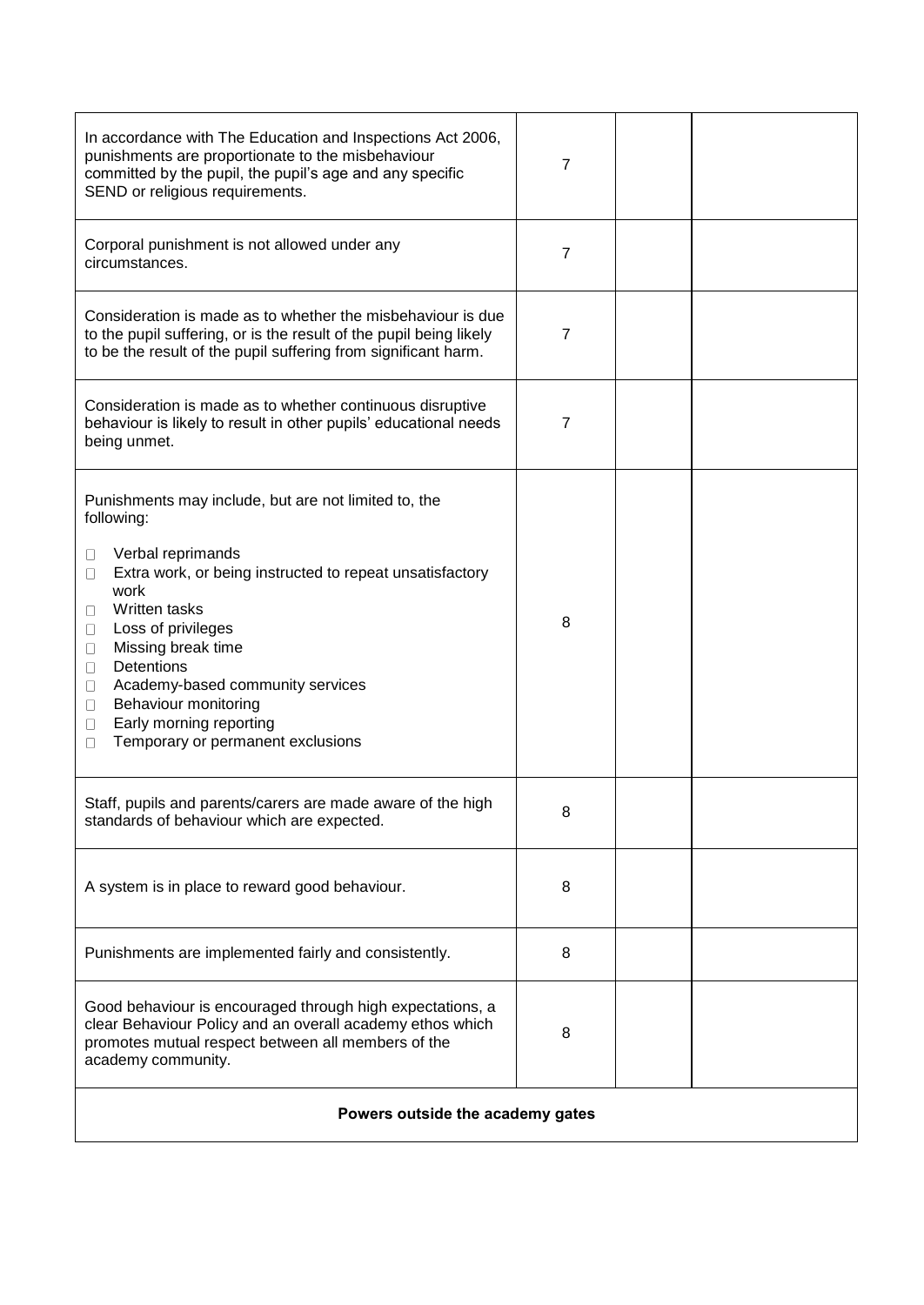| In accordance with The Education and Inspections Act 2006,<br>punishments are proportionate to the misbehaviour<br>committed by the pupil, the pupil's age and any specific<br>SEND or religious requirements.                                                                                                                                                                                                                 | 7              |  |  |
|--------------------------------------------------------------------------------------------------------------------------------------------------------------------------------------------------------------------------------------------------------------------------------------------------------------------------------------------------------------------------------------------------------------------------------|----------------|--|--|
| Corporal punishment is not allowed under any<br>circumstances.                                                                                                                                                                                                                                                                                                                                                                 | $\overline{7}$ |  |  |
| Consideration is made as to whether the misbehaviour is due<br>to the pupil suffering, or is the result of the pupil being likely<br>to be the result of the pupil suffering from significant harm.                                                                                                                                                                                                                            | 7              |  |  |
| Consideration is made as to whether continuous disruptive<br>behaviour is likely to result in other pupils' educational needs<br>being unmet.                                                                                                                                                                                                                                                                                  | $\overline{7}$ |  |  |
| Punishments may include, but are not limited to, the<br>following:<br>Verbal reprimands<br>□<br>Extra work, or being instructed to repeat unsatisfactory<br>□<br>work<br>Written tasks<br>□<br>Loss of privileges<br>□<br>Missing break time<br>□<br>Detentions<br>□<br>Academy-based community services<br>u<br>Behaviour monitoring<br>$\Box$<br>Early morning reporting<br>$\Box$<br>Temporary or permanent exclusions<br>П | 8              |  |  |
| Staff, pupils and parents/carers are made aware of the high<br>standards of behaviour which are expected.                                                                                                                                                                                                                                                                                                                      | 8              |  |  |
| A system is in place to reward good behaviour.                                                                                                                                                                                                                                                                                                                                                                                 | 8              |  |  |
| Punishments are implemented fairly and consistently.                                                                                                                                                                                                                                                                                                                                                                           | 8              |  |  |
| Good behaviour is encouraged through high expectations, a<br>clear Behaviour Policy and an overall academy ethos which<br>promotes mutual respect between all members of the<br>academy community.                                                                                                                                                                                                                             | 8              |  |  |
| Powers outside the academy gates                                                                                                                                                                                                                                                                                                                                                                                               |                |  |  |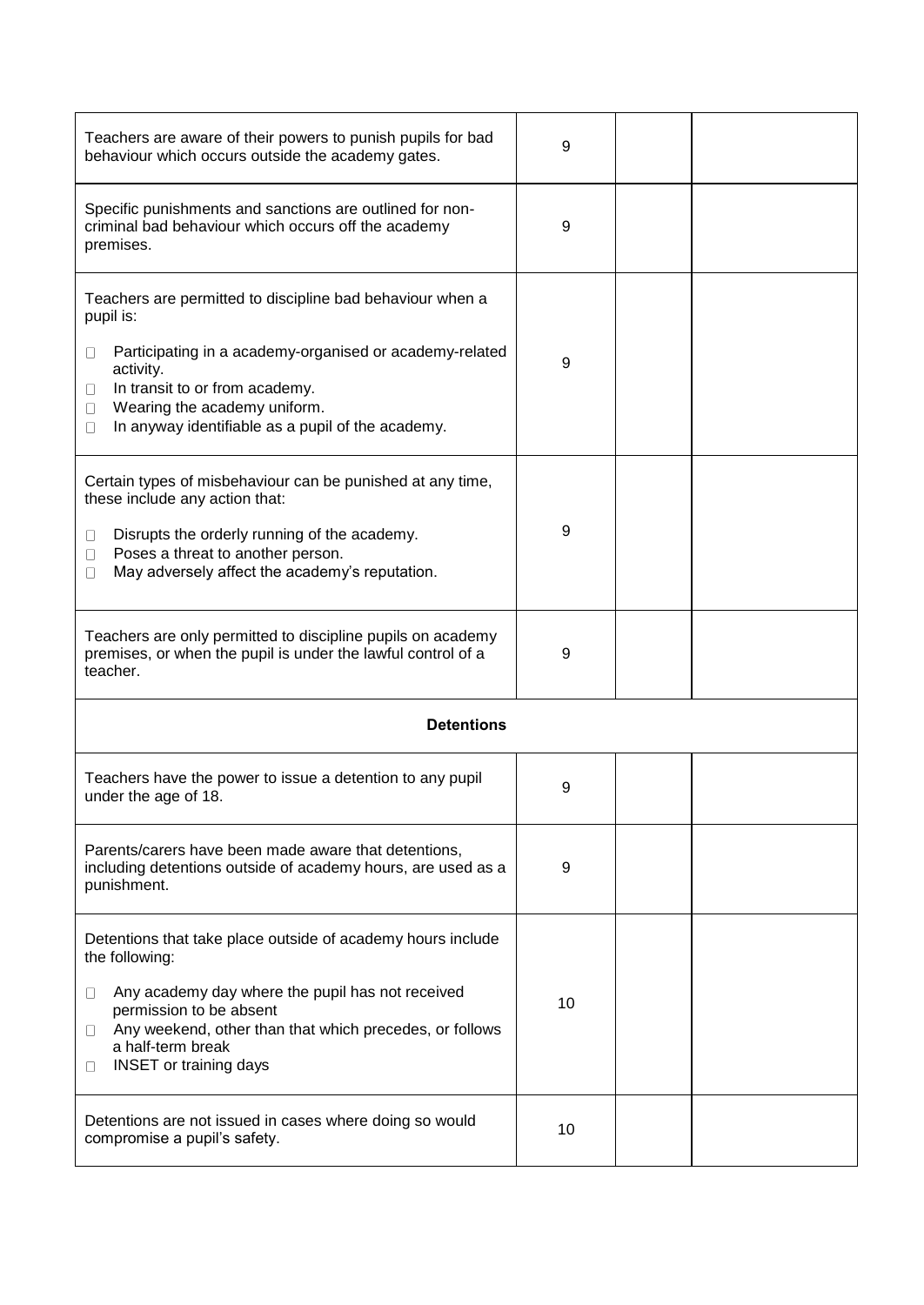| Teachers are aware of their powers to punish pupils for bad<br>behaviour which occurs outside the academy gates.                                                                                                                                                                             | 9  |  |  |
|----------------------------------------------------------------------------------------------------------------------------------------------------------------------------------------------------------------------------------------------------------------------------------------------|----|--|--|
| Specific punishments and sanctions are outlined for non-<br>criminal bad behaviour which occurs off the academy<br>premises.                                                                                                                                                                 | 9  |  |  |
| Teachers are permitted to discipline bad behaviour when a<br>pupil is:<br>Participating in a academy-organised or academy-related<br>□<br>activity.<br>In transit to or from academy.<br>0<br>Wearing the academy uniform.<br>П<br>In anyway identifiable as a pupil of the academy.<br>□    | 9  |  |  |
| Certain types of misbehaviour can be punished at any time,<br>these include any action that:<br>Disrupts the orderly running of the academy.<br>□<br>Poses a threat to another person.<br>Ш<br>May adversely affect the academy's reputation.<br>Н                                           | 9  |  |  |
| Teachers are only permitted to discipline pupils on academy<br>premises, or when the pupil is under the lawful control of a<br>teacher.                                                                                                                                                      | 9  |  |  |
| <b>Detentions</b>                                                                                                                                                                                                                                                                            |    |  |  |
| Teachers have the power to issue a detention to any pupil<br>under the age of 18.                                                                                                                                                                                                            | 9  |  |  |
| Parents/carers have been made aware that detentions,<br>including detentions outside of academy hours, are used as a<br>punishment.                                                                                                                                                          | 9  |  |  |
| Detentions that take place outside of academy hours include<br>the following:<br>Any academy day where the pupil has not received<br>□<br>permission to be absent<br>Any weekend, other than that which precedes, or follows<br>Ш<br>a half-term break<br><b>INSET</b> or training days<br>Ш | 10 |  |  |
| Detentions are not issued in cases where doing so would<br>compromise a pupil's safety.                                                                                                                                                                                                      | 10 |  |  |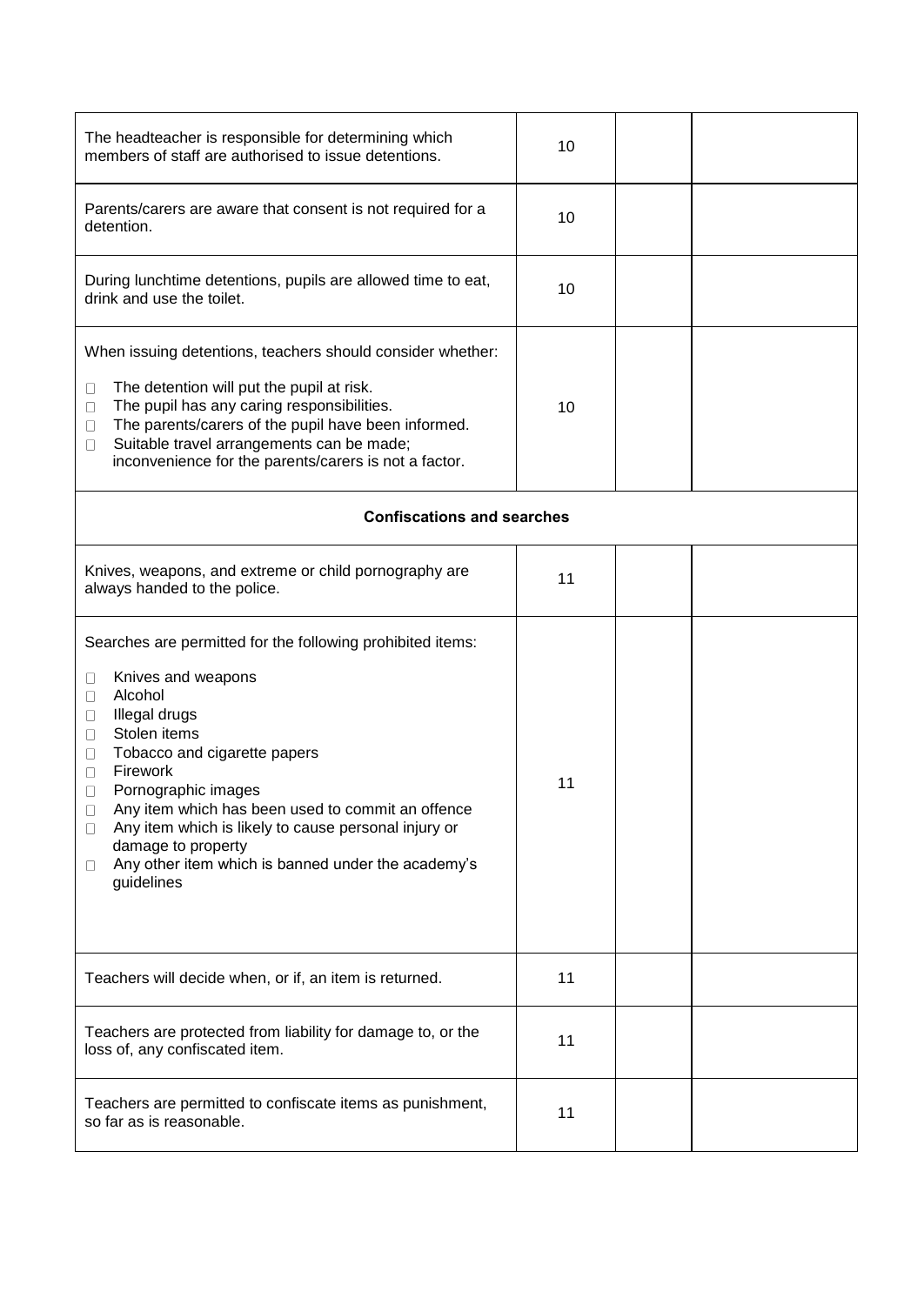| The headteacher is responsible for determining which<br>members of staff are authorised to issue detentions.                                                                                                                                                                                                                                                                                                                                                       | 10 |  |  |
|--------------------------------------------------------------------------------------------------------------------------------------------------------------------------------------------------------------------------------------------------------------------------------------------------------------------------------------------------------------------------------------------------------------------------------------------------------------------|----|--|--|
| Parents/carers are aware that consent is not required for a<br>detention.                                                                                                                                                                                                                                                                                                                                                                                          | 10 |  |  |
| During lunchtime detentions, pupils are allowed time to eat,<br>drink and use the toilet.                                                                                                                                                                                                                                                                                                                                                                          | 10 |  |  |
| When issuing detentions, teachers should consider whether:<br>The detention will put the pupil at risk.<br>Ш<br>The pupil has any caring responsibilities.<br>Ш<br>The parents/carers of the pupil have been informed.<br>□<br>Suitable travel arrangements can be made;<br>□<br>inconvenience for the parents/carers is not a factor.                                                                                                                             | 10 |  |  |
| <b>Confiscations and searches</b>                                                                                                                                                                                                                                                                                                                                                                                                                                  |    |  |  |
| Knives, weapons, and extreme or child pornography are<br>always handed to the police.                                                                                                                                                                                                                                                                                                                                                                              | 11 |  |  |
| Searches are permitted for the following prohibited items:<br>Knives and weapons<br>Ш<br>Alcohol<br>□<br>Illegal drugs<br>Ш<br>Stolen items<br>Ш<br>Tobacco and cigarette papers<br>□<br>Firework<br>□<br>Pornographic images<br>Ш<br>Any item which has been used to commit an offence<br>$\Box$<br>Any item which is likely to cause personal injury or<br>$\Box$<br>damage to property<br>Any other item which is banned under the academy's<br>Ш<br>guidelines | 11 |  |  |
| Teachers will decide when, or if, an item is returned.                                                                                                                                                                                                                                                                                                                                                                                                             | 11 |  |  |
| Teachers are protected from liability for damage to, or the<br>loss of, any confiscated item.                                                                                                                                                                                                                                                                                                                                                                      | 11 |  |  |
| Teachers are permitted to confiscate items as punishment,<br>so far as is reasonable.                                                                                                                                                                                                                                                                                                                                                                              | 11 |  |  |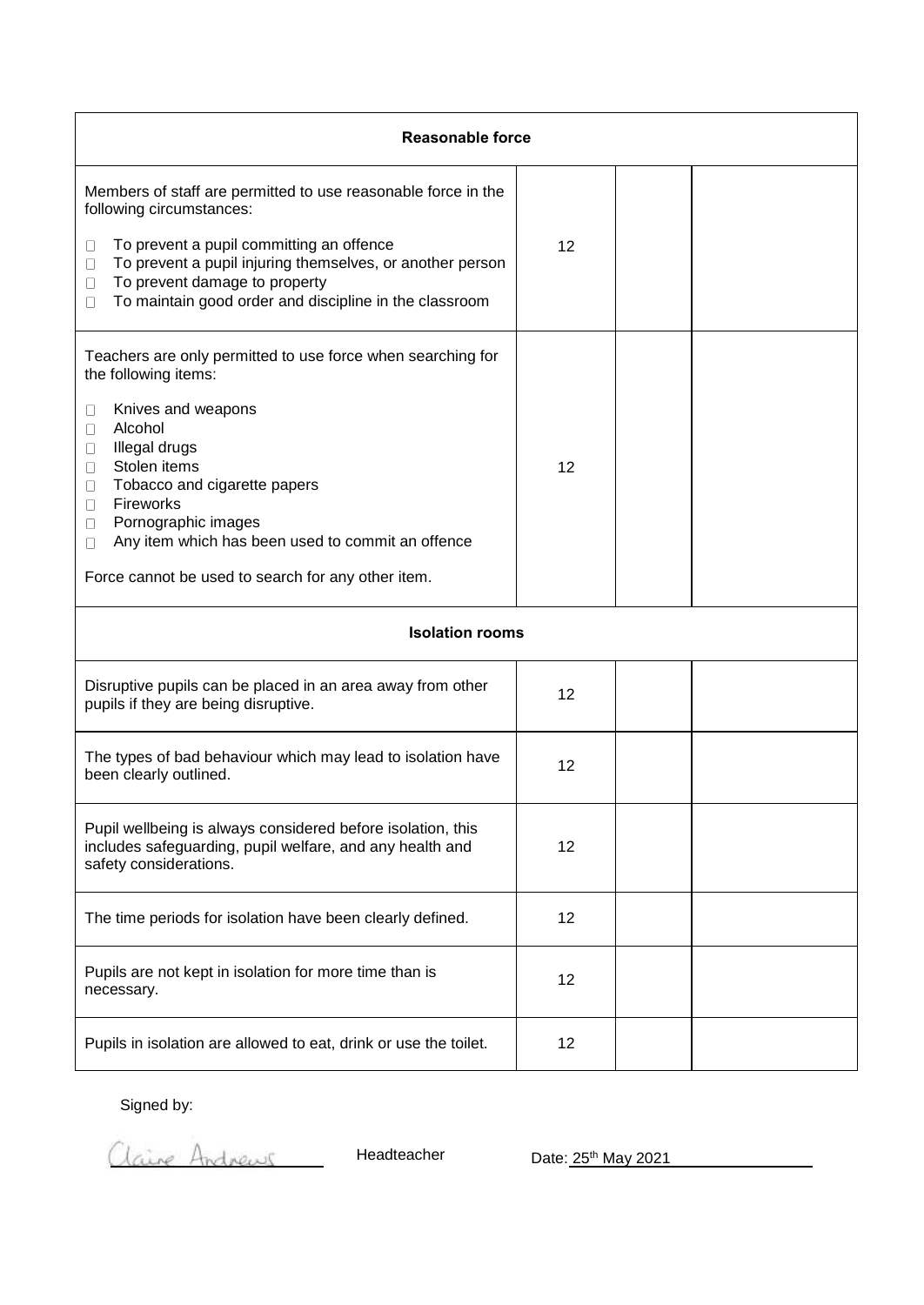| <b>Reasonable force</b>                                                                                                                                                                                                                                                                                                                                                           |    |  |  |
|-----------------------------------------------------------------------------------------------------------------------------------------------------------------------------------------------------------------------------------------------------------------------------------------------------------------------------------------------------------------------------------|----|--|--|
| Members of staff are permitted to use reasonable force in the<br>following circumstances:<br>To prevent a pupil committing an offence<br>Ш<br>To prevent a pupil injuring themselves, or another person<br>⊔<br>To prevent damage to property<br>□<br>To maintain good order and discipline in the classroom<br>П                                                                 | 12 |  |  |
| Teachers are only permitted to use force when searching for<br>the following items:<br>Knives and weapons<br>□<br>Alcohol<br>П<br>Illegal drugs<br>0<br>Stolen items<br>0<br>Tobacco and cigarette papers<br>$\Box$<br>Fireworks<br>U<br>Pornographic images<br>U<br>Any item which has been used to commit an offence<br>Ш<br>Force cannot be used to search for any other item. | 12 |  |  |
| <b>Isolation rooms</b>                                                                                                                                                                                                                                                                                                                                                            |    |  |  |
| Disruptive pupils can be placed in an area away from other<br>pupils if they are being disruptive.                                                                                                                                                                                                                                                                                | 12 |  |  |
| The types of bad behaviour which may lead to isolation have<br>been clearly outlined.                                                                                                                                                                                                                                                                                             | 12 |  |  |
| Pupil wellbeing is always considered before isolation, this<br>includes safeguarding, pupil welfare, and any health and<br>safety considerations.                                                                                                                                                                                                                                 | 12 |  |  |
| The time periods for isolation have been clearly defined.                                                                                                                                                                                                                                                                                                                         | 12 |  |  |
| Pupils are not kept in isolation for more time than is<br>necessary.                                                                                                                                                                                                                                                                                                              | 12 |  |  |
| Pupils in isolation are allowed to eat, drink or use the toilet.                                                                                                                                                                                                                                                                                                                  | 12 |  |  |

Signed by:

Claire Andrews

Headteacher Date: 25<sup>th</sup> May 2021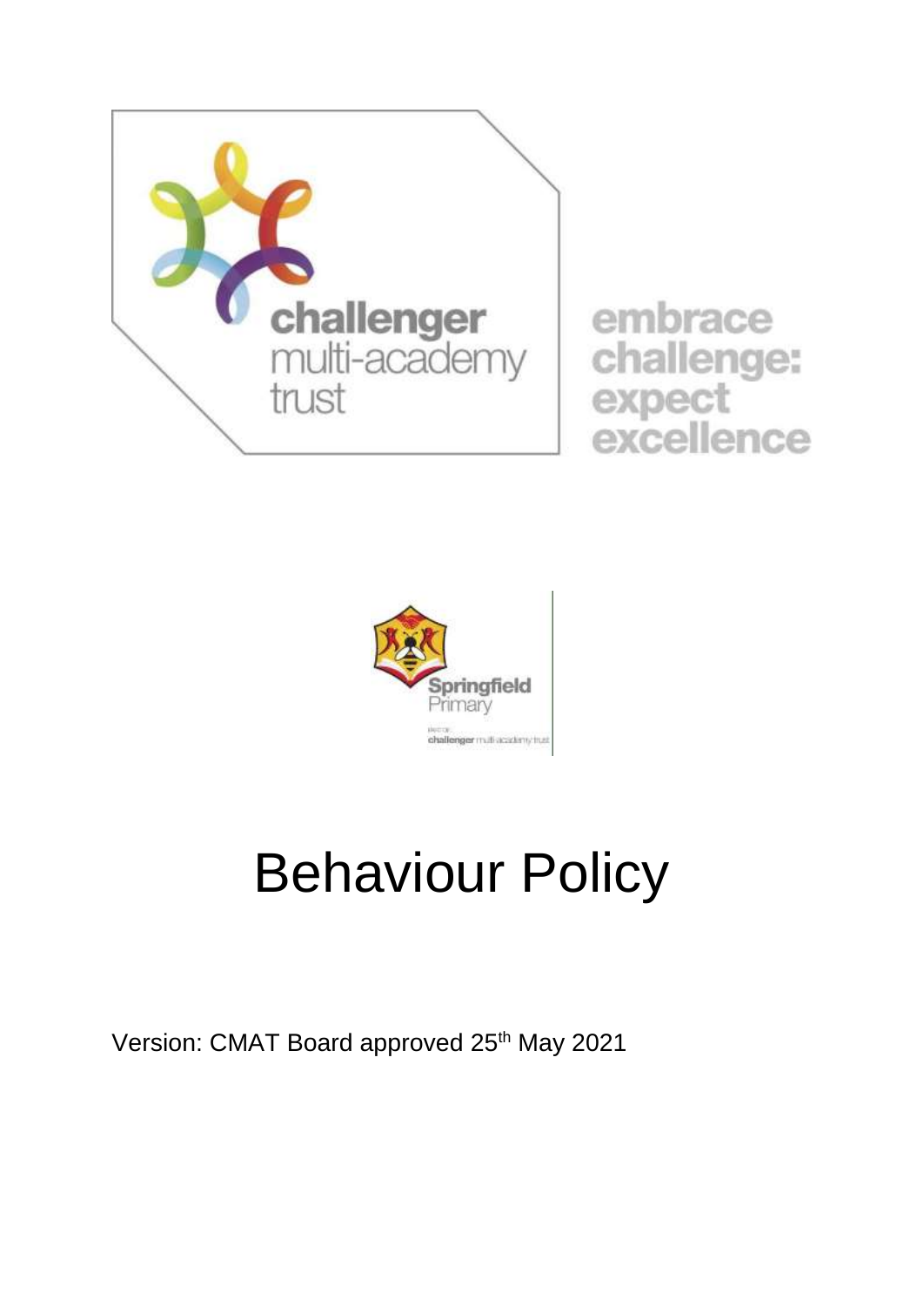

embrace challenge: expect<br>excellence



## Behaviour Policy

Version: CMAT Board approved 25<sup>th</sup> May 2021